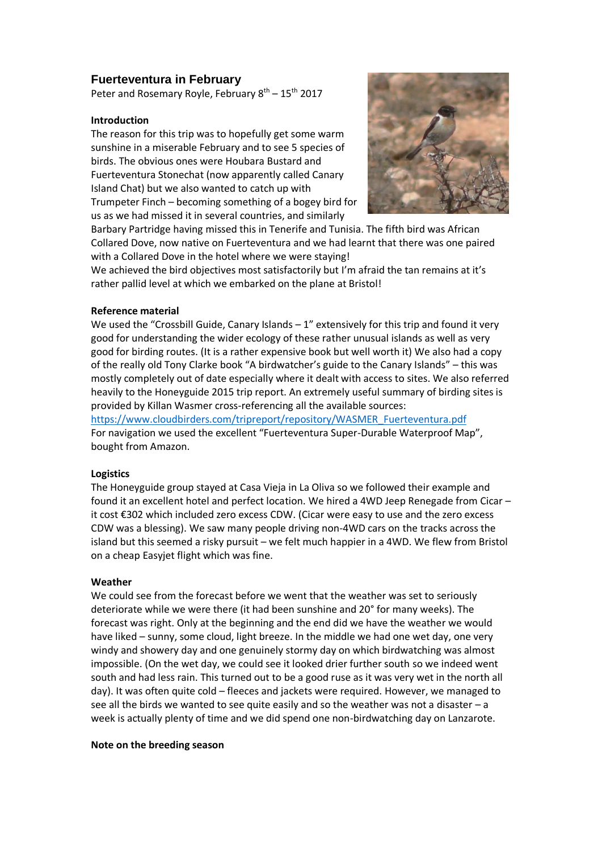# **Fuerteventura in February**

Peter and Rosemary Royle, February 8<sup>th</sup> – 15<sup>th</sup> 2017

### **Introduction**

The reason for this trip was to hopefully get some warm sunshine in a miserable February and to see 5 species of birds. The obvious ones were Houbara Bustard and Fuerteventura Stonechat (now apparently called Canary Island Chat) but we also wanted to catch up with Trumpeter Finch – becoming something of a bogey bird for us as we had missed it in several countries, and similarly



Barbary Partridge having missed this in Tenerife and Tunisia. The fifth bird was African Collared Dove, now native on Fuerteventura and we had learnt that there was one paired with a Collared Dove in the hotel where we were staying!

We achieved the bird objectives most satisfactorily but I'm afraid the tan remains at it's rather pallid level at which we embarked on the plane at Bristol!

#### **Reference material**

We used the "Crossbill Guide, Canary Islands – 1" extensively for this trip and found it very good for understanding the wider ecology of these rather unusual islands as well as very good for birding routes. (It is a rather expensive book but well worth it) We also had a copy of the really old Tony Clarke book "A birdwatcher's guide to the Canary Islands" – this was mostly completely out of date especially where it dealt with access to sites. We also referred heavily to the Honeyguide 2015 trip report. An extremely useful summary of birding sites is provided by Killan Wasmer cross-referencing all the available sources:

[https://www.cloudbirders.com/tripreport/repository/WASMER\\_Fuerteventura.pdf](https://www.cloudbirders.com/tripreport/repository/WASMER_Fuerteventura.pdf) For navigation we used the excellent "Fuerteventura Super-Durable Waterproof Map", bought from Amazon.

## **Logistics**

The Honeyguide group stayed at Casa Vieja in La Oliva so we followed their example and found it an excellent hotel and perfect location. We hired a 4WD Jeep Renegade from Cicar – it cost €302 which included zero excess CDW. (Cicar were easy to use and the zero excess CDW was a blessing). We saw many people driving non-4WD cars on the tracks across the island but this seemed a risky pursuit – we felt much happier in a 4WD. We flew from Bristol on a cheap Easyjet flight which was fine.

## **Weather**

We could see from the forecast before we went that the weather was set to seriously deteriorate while we were there (it had been sunshine and 20° for many weeks). The forecast was right. Only at the beginning and the end did we have the weather we would have liked – sunny, some cloud, light breeze. In the middle we had one wet day, one very windy and showery day and one genuinely stormy day on which birdwatching was almost impossible. (On the wet day, we could see it looked drier further south so we indeed went south and had less rain. This turned out to be a good ruse as it was very wet in the north all day). It was often quite cold – fleeces and jackets were required. However, we managed to see all the birds we wanted to see quite easily and so the weather was not a disaster – a week is actually plenty of time and we did spend one non-birdwatching day on Lanzarote.

#### **Note on the breeding season**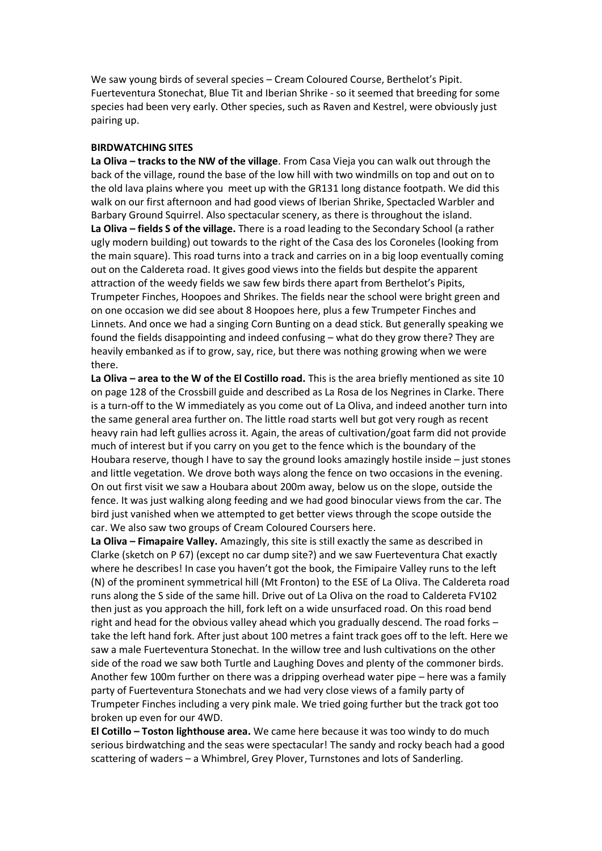We saw young birds of several species – Cream Coloured Course, Berthelot's Pipit. Fuerteventura Stonechat, Blue Tit and Iberian Shrike - so it seemed that breeding for some species had been very early. Other species, such as Raven and Kestrel, were obviously just pairing up.

#### **BIRDWATCHING SITES**

**La Oliva – tracks to the NW of the village**. From Casa Vieja you can walk out through the back of the village, round the base of the low hill with two windmills on top and out on to the old lava plains where you meet up with the GR131 long distance footpath. We did this walk on our first afternoon and had good views of Iberian Shrike, Spectacled Warbler and Barbary Ground Squirrel. Also spectacular scenery, as there is throughout the island. **La Oliva – fields S of the village.** There is a road leading to the Secondary School (a rather ugly modern building) out towards to the right of the Casa des los Coroneles (looking from the main square). This road turns into a track and carries on in a big loop eventually coming out on the Caldereta road. It gives good views into the fields but despite the apparent attraction of the weedy fields we saw few birds there apart from Berthelot's Pipits, Trumpeter Finches, Hoopoes and Shrikes. The fields near the school were bright green and on one occasion we did see about 8 Hoopoes here, plus a few Trumpeter Finches and Linnets. And once we had a singing Corn Bunting on a dead stick. But generally speaking we found the fields disappointing and indeed confusing – what do they grow there? They are heavily embanked as if to grow, say, rice, but there was nothing growing when we were there.

**La Oliva – area to the W of the El Costillo road.** This is the area briefly mentioned as site 10 on page 128 of the Crossbill guide and described as La Rosa de los Negrines in Clarke. There is a turn-off to the W immediately as you come out of La Oliva, and indeed another turn into the same general area further on. The little road starts well but got very rough as recent heavy rain had left gullies across it. Again, the areas of cultivation/goat farm did not provide much of interest but if you carry on you get to the fence which is the boundary of the Houbara reserve, though I have to say the ground looks amazingly hostile inside – just stones and little vegetation. We drove both ways along the fence on two occasions in the evening. On out first visit we saw a Houbara about 200m away, below us on the slope, outside the fence. It was just walking along feeding and we had good binocular views from the car. The bird just vanished when we attempted to get better views through the scope outside the car. We also saw two groups of Cream Coloured Coursers here.

**La Oliva – Fimapaire Valley.** Amazingly, this site is still exactly the same as described in Clarke (sketch on P 67) (except no car dump site?) and we saw Fuerteventura Chat exactly where he describes! In case you haven't got the book, the Fimipaire Valley runs to the left (N) of the prominent symmetrical hill (Mt Fronton) to the ESE of La Oliva. The Caldereta road runs along the S side of the same hill. Drive out of La Oliva on the road to Caldereta FV102 then just as you approach the hill, fork left on a wide unsurfaced road. On this road bend right and head for the obvious valley ahead which you gradually descend. The road forks – take the left hand fork. After just about 100 metres a faint track goes off to the left. Here we saw a male Fuerteventura Stonechat. In the willow tree and lush cultivations on the other side of the road we saw both Turtle and Laughing Doves and plenty of the commoner birds. Another few 100m further on there was a dripping overhead water pipe – here was a family party of Fuerteventura Stonechats and we had very close views of a family party of Trumpeter Finches including a very pink male. We tried going further but the track got too broken up even for our 4WD.

**El Cotillo – Toston lighthouse area.** We came here because it was too windy to do much serious birdwatching and the seas were spectacular! The sandy and rocky beach had a good scattering of waders – a Whimbrel, Grey Plover, Turnstones and lots of Sanderling.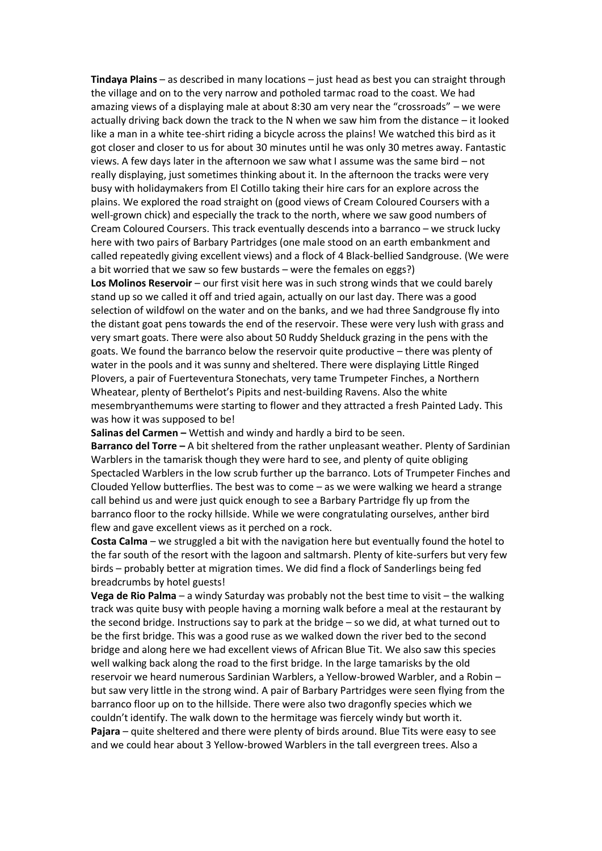**Tindaya Plains** – as described in many locations – just head as best you can straight through the village and on to the very narrow and potholed tarmac road to the coast. We had amazing views of a displaying male at about 8:30 am very near the "crossroads" – we were actually driving back down the track to the N when we saw him from the distance – it looked like a man in a white tee-shirt riding a bicycle across the plains! We watched this bird as it got closer and closer to us for about 30 minutes until he was only 30 metres away. Fantastic views. A few days later in the afternoon we saw what I assume was the same bird – not really displaying, just sometimes thinking about it. In the afternoon the tracks were very busy with holidaymakers from El Cotillo taking their hire cars for an explore across the plains. We explored the road straight on (good views of Cream Coloured Coursers with a well-grown chick) and especially the track to the north, where we saw good numbers of Cream Coloured Coursers. This track eventually descends into a barranco – we struck lucky here with two pairs of Barbary Partridges (one male stood on an earth embankment and called repeatedly giving excellent views) and a flock of 4 Black-bellied Sandgrouse. (We were a bit worried that we saw so few bustards – were the females on eggs?)

**Los Molinos Reservoir** – our first visit here was in such strong winds that we could barely stand up so we called it off and tried again, actually on our last day. There was a good selection of wildfowl on the water and on the banks, and we had three Sandgrouse fly into the distant goat pens towards the end of the reservoir. These were very lush with grass and very smart goats. There were also about 50 Ruddy Shelduck grazing in the pens with the goats. We found the barranco below the reservoir quite productive – there was plenty of water in the pools and it was sunny and sheltered. There were displaying Little Ringed Plovers, a pair of Fuerteventura Stonechats, very tame Trumpeter Finches, a Northern Wheatear, plenty of Berthelot's Pipits and nest-building Ravens. Also the white mesembryanthemums were starting to flower and they attracted a fresh Painted Lady. This was how it was supposed to be!

**Salinas del Carmen –** Wettish and windy and hardly a bird to be seen.

**Barranco del Torre –** A bit sheltered from the rather unpleasant weather. Plenty of Sardinian Warblers in the tamarisk though they were hard to see, and plenty of quite obliging Spectacled Warblers in the low scrub further up the barranco. Lots of Trumpeter Finches and Clouded Yellow butterflies. The best was to come – as we were walking we heard a strange call behind us and were just quick enough to see a Barbary Partridge fly up from the barranco floor to the rocky hillside. While we were congratulating ourselves, anther bird flew and gave excellent views as it perched on a rock.

**Costa Calma** – we struggled a bit with the navigation here but eventually found the hotel to the far south of the resort with the lagoon and saltmarsh. Plenty of kite-surfers but very few birds – probably better at migration times. We did find a flock of Sanderlings being fed breadcrumbs by hotel guests!

**Vega de Rio Palma** – a windy Saturday was probably not the best time to visit – the walking track was quite busy with people having a morning walk before a meal at the restaurant by the second bridge. Instructions say to park at the bridge – so we did, at what turned out to be the first bridge. This was a good ruse as we walked down the river bed to the second bridge and along here we had excellent views of African Blue Tit. We also saw this species well walking back along the road to the first bridge. In the large tamarisks by the old reservoir we heard numerous Sardinian Warblers, a Yellow-browed Warbler, and a Robin – but saw very little in the strong wind. A pair of Barbary Partridges were seen flying from the barranco floor up on to the hillside. There were also two dragonfly species which we couldn't identify. The walk down to the hermitage was fiercely windy but worth it. **Pajara** – quite sheltered and there were plenty of birds around. Blue Tits were easy to see and we could hear about 3 Yellow-browed Warblers in the tall evergreen trees. Also a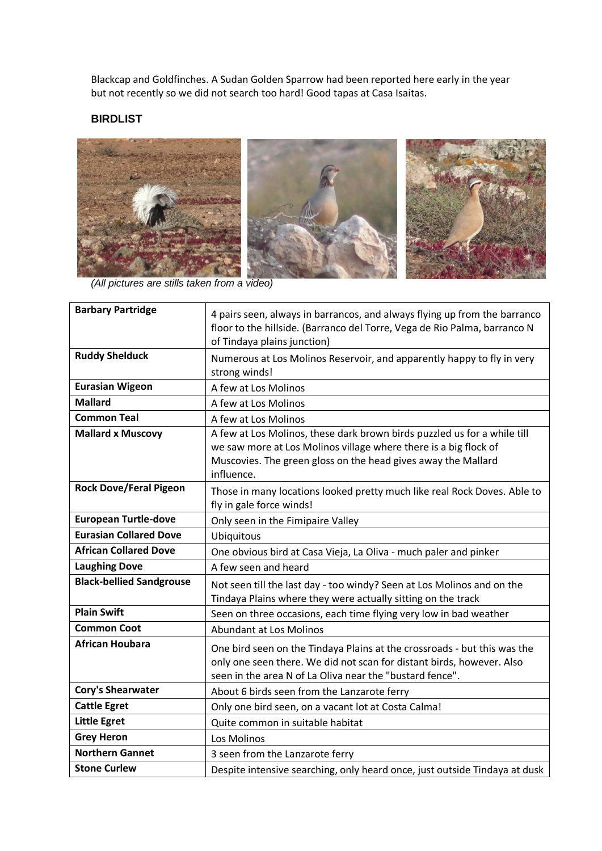Blackcap and Goldfinches. A Sudan Golden Sparrow had been reported here early in the year but not recently so we did not search too hard! Good tapas at Casa Isaitas.

# **BIRDLIST**



*(All pictures are stills taken from a video)*

| <b>Barbary Partridge</b>        | 4 pairs seen, always in barrancos, and always flying up from the barranco<br>floor to the hillside. (Barranco del Torre, Vega de Rio Palma, barranco N<br>of Tindaya plains junction)                                       |
|---------------------------------|-----------------------------------------------------------------------------------------------------------------------------------------------------------------------------------------------------------------------------|
| <b>Ruddy Shelduck</b>           | Numerous at Los Molinos Reservoir, and apparently happy to fly in very<br>strong winds!                                                                                                                                     |
| <b>Eurasian Wigeon</b>          | A few at Los Molinos                                                                                                                                                                                                        |
| <b>Mallard</b>                  | A few at Los Molinos                                                                                                                                                                                                        |
| <b>Common Teal</b>              | A few at Los Molinos                                                                                                                                                                                                        |
| <b>Mallard x Muscovy</b>        | A few at Los Molinos, these dark brown birds puzzled us for a while till<br>we saw more at Los Molinos village where there is a big flock of<br>Muscovies. The green gloss on the head gives away the Mallard<br>influence. |
| <b>Rock Dove/Feral Pigeon</b>   | Those in many locations looked pretty much like real Rock Doves. Able to<br>fly in gale force winds!                                                                                                                        |
| <b>European Turtle-dove</b>     | Only seen in the Fimipaire Valley                                                                                                                                                                                           |
| <b>Eurasian Collared Dove</b>   | Ubiquitous                                                                                                                                                                                                                  |
| <b>African Collared Dove</b>    | One obvious bird at Casa Vieja, La Oliva - much paler and pinker                                                                                                                                                            |
| <b>Laughing Dove</b>            | A few seen and heard                                                                                                                                                                                                        |
| <b>Black-bellied Sandgrouse</b> | Not seen till the last day - too windy? Seen at Los Molinos and on the<br>Tindaya Plains where they were actually sitting on the track                                                                                      |
| <b>Plain Swift</b>              | Seen on three occasions, each time flying very low in bad weather                                                                                                                                                           |
| <b>Common Coot</b>              | <b>Abundant at Los Molinos</b>                                                                                                                                                                                              |
| <b>African Houbara</b>          | One bird seen on the Tindaya Plains at the crossroads - but this was the<br>only one seen there. We did not scan for distant birds, however. Also<br>seen in the area N of La Oliva near the "bustard fence".               |
| <b>Cory's Shearwater</b>        | About 6 birds seen from the Lanzarote ferry                                                                                                                                                                                 |
| <b>Cattle Egret</b>             | Only one bird seen, on a vacant lot at Costa Calma!                                                                                                                                                                         |
| <b>Little Egret</b>             | Quite common in suitable habitat                                                                                                                                                                                            |
| <b>Grey Heron</b>               | Los Molinos                                                                                                                                                                                                                 |
| <b>Northern Gannet</b>          | 3 seen from the Lanzarote ferry                                                                                                                                                                                             |
| <b>Stone Curlew</b>             | Despite intensive searching, only heard once, just outside Tindaya at dusk                                                                                                                                                  |